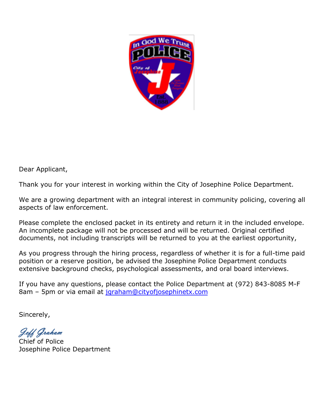

Dear Applicant,

Thank you for your interest in working within the City of Josephine Police Department.

We are a growing department with an integral interest in community policing, covering all aspects of law enforcement.

Please complete the enclosed packet in its entirety and return it in the included envelope. An incomplete package will not be processed and will be returned. Original certified documents, not including transcripts will be returned to you at the earliest opportunity,

As you progress through the hiring process, regardless of whether it is for a full-time paid position or a reserve position, be advised the Josephine Police Department conducts extensive background checks, psychological assessments, and oral board interviews.

If you have any questions, please contact the Police Department at (972) 843-8085 M-F 8am – 5pm or via email at [jgraham@cityofjosephinetx.com](mailto:jgraham@cityofjosephinetx.com)

Sincerely,

Jeff Graham

Chief of Police Josephine Police Department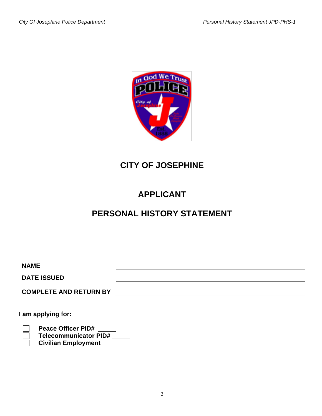

# **CITY OF JOSEPHINE**

# **APPLICANT**

# **PERSONAL HISTORY STATEMENT**

| <b>NAME</b><br><b>DATE ISSUED</b><br><b>COMPLETE AND RETURN BY</b>                      |  |
|-----------------------------------------------------------------------------------------|--|
| I am applying for:                                                                      |  |
| <b>Peace Officer PID#</b><br><b>Telecommunicator PID#</b><br><b>Civilian Employment</b> |  |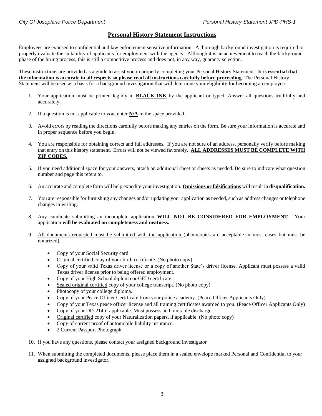## **Personal History Statement Instructions**

Employees are exposed to confidential and law enforcement sensitive information. A thorough background investigation is required to properly evaluate the suitability of applicants for employment with the agency. Although it is an achievement to reach the background phase of the hiring process, this is still a competitive process and does not, in any way, guaranty selection.

These instructions are provided as a guide to assist you in properly completing your Personal History Statement. **It is essential that the information is accurate in all respects so please read all instructions carefully before proceeding**. The Personal History Statement will be used as a basis for a background investigation that will determine your eligibility for becoming an employee.

- 1. Your application must be printed legibly in **BLACK INK** by the applicant or typed. Answer all questions truthfully and accurately.
- 2. If a question is not applicable to you, enter **N/A** in the space provided.
- 3. Avoid errors by reading the directions carefully before making any entries on the form. Be sure your information is accurate and in proper sequence before you begin.
- 4. You are responsible for obtaining correct and full addresses. If you are not sure of an address, personally verify before making that entry on this history statement. Errors will not be viewed favorably. **ALL ADDRESSES MUST BE COMPLETE WITH ZIP CODES.**
- 5. If you need additional space for your answers, attach an additional sheet or sheets as needed. Be sure to indicate what question number and page this refers to.
- 6. An accurate and complete form will help expedite your investigation. **Omissions or falsifications** will result in **disqualification.**
- 7. You are responsible for furnishing any changes and/or updating your application as needed, such as address changes or telephone changes in writing.
- 8. Any candidate submitting an incomplete application **WILL NOT BE CONSIDERED FOR EMPLOYMENT**. Your application **will be evaluated on completeness and neatness.**
- 9. All documents requested must be submitted with the application (photocopies are acceptable in most cases but must be notarized).
	- Copy of your Social Security card.
	- Original certified copy of your birth certificate. (No photo copy)
	- Copy of your valid Texas driver license or a copy of another State's driver license. Applicant must possess a valid Texas driver license prior to being offered employment.
	- Copy of your High School diploma or GED certificate.
	- Sealed original certified copy of your college transcript. (No photo copy)
	- Photocopy of your college diploma.
	- Copy of your Peace Officer Certificate from your police academy. (Peace Officer Applicants Only)
	- Copy of your Texas peace officer license and all training certificates awarded to you. (Peace Officer Applicants Only)
	- Copy of your DD-214 if applicable. Must possess an honorable discharge.
	- Original certified copy of your Naturalization papers, if applicable. (No photo copy)
	- Copy of current proof of automobile liability insurance.
	- 2 Current Passport Photograph
- 10. If you have any questions, please contact your assigned background investigator
- 11. When submitting the completed documents, please place them in a sealed envelope marked Personal and Confidential to your assigned background investigator.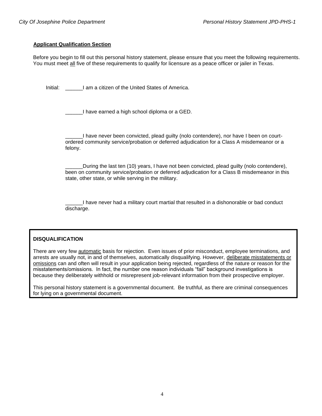#### **Applicant Qualification Section**

Before you begin to fill out this personal history statement, please ensure that you meet the following requirements. You must meet all five of these requirements to qualify for licensure as a peace officer or jailer in Texas.

Initial: I am a citizen of the United States of America.

I have earned a high school diploma or a GED.

I have never been convicted, plead guilty (nolo contendere), nor have I been on courtordered community service/probation or deferred adjudication for a Class A misdemeanor or a felony.

During the last ten (10) years, I have not been convicted, plead guilty (nolo contendere), been on community service/probation or deferred adjudication for a Class B misdemeanor in this state, other state, or while serving in the military.

I have never had a military court martial that resulted in a dishonorable or bad conduct discharge.

### **DISQUALIFICATION**

There are very few automatic basis for rejection. Even issues of prior misconduct, employee terminations, and arrests are usually not, in and of themselves, automatically disqualifying. However, deliberate misstatements or omissions can and often will result in your application being rejected, regardless of the nature or reason for the misstatements/omissions. In fact, the number one reason individuals "fail" background investigations is because they deliberately withhold or misrepresent job-relevant information from their prospective employer.

This personal history statement is a governmental document. Be truthful, as there are criminal consequences for lying on a governmental document.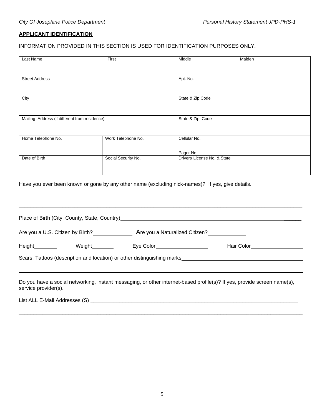# **APPLICANT IDENTIFICATION**

# INFORMATION PROVIDED IN THIS SECTION IS USED FOR IDENTIFICATION PURPOSES ONLY.

| Last Name                                     | First                                                                                                           | Middle                      | Maiden                                                                                                                  |
|-----------------------------------------------|-----------------------------------------------------------------------------------------------------------------|-----------------------------|-------------------------------------------------------------------------------------------------------------------------|
|                                               |                                                                                                                 |                             |                                                                                                                         |
| <b>Street Address</b>                         |                                                                                                                 |                             |                                                                                                                         |
|                                               |                                                                                                                 |                             |                                                                                                                         |
| City                                          |                                                                                                                 | State & Zip Code            |                                                                                                                         |
| Mailing Address (if different from residence) |                                                                                                                 | State & Zip Code            |                                                                                                                         |
|                                               |                                                                                                                 |                             |                                                                                                                         |
| Home Telephone No.                            | Work Telephone No.                                                                                              | Cellular No.                |                                                                                                                         |
|                                               |                                                                                                                 | Pager No.                   |                                                                                                                         |
| Date of Birth                                 | Social Security No.                                                                                             | Drivers License No. & State |                                                                                                                         |
|                                               |                                                                                                                 |                             |                                                                                                                         |
|                                               | Have you ever been known or gone by any other name (excluding nick-names)? If yes, give details.                |                             |                                                                                                                         |
|                                               |                                                                                                                 |                             |                                                                                                                         |
|                                               |                                                                                                                 |                             |                                                                                                                         |
|                                               | Place of Birth (City, County, State, Country) Manual Communication of the Country of the Country of the Country |                             |                                                                                                                         |
|                                               |                                                                                                                 |                             |                                                                                                                         |
|                                               | Height__________    Weight________    Eye Color_________________________________                                |                             | Hair Color______________________                                                                                        |
|                                               |                                                                                                                 |                             |                                                                                                                         |
|                                               |                                                                                                                 |                             |                                                                                                                         |
|                                               | service provider(s).                                                                                            |                             | Do you have a social networking, instant messaging, or other internet-based profile(s)? If yes, provide screen name(s), |
|                                               |                                                                                                                 |                             |                                                                                                                         |
|                                               |                                                                                                                 |                             |                                                                                                                         |

\_\_\_\_\_\_\_\_\_\_\_\_\_\_\_\_\_\_\_\_\_\_\_\_\_\_\_\_\_\_\_\_\_\_\_\_\_\_\_\_\_\_\_\_\_\_\_\_\_\_\_\_\_\_\_\_\_\_\_\_\_\_\_\_\_\_\_\_\_\_\_\_\_\_\_\_\_\_\_\_\_\_\_\_\_\_\_\_\_\_\_\_\_\_\_\_\_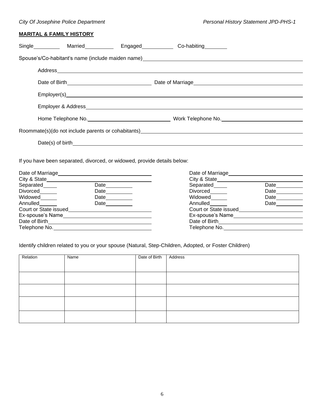# **MARITAL & FAMILY HISTORY**

| Single____________ Married____________________Engaged_______________Co-habiting_________ |                                                                                                                                                                                                                                  |             |
|------------------------------------------------------------------------------------------|----------------------------------------------------------------------------------------------------------------------------------------------------------------------------------------------------------------------------------|-------------|
|                                                                                          |                                                                                                                                                                                                                                  |             |
|                                                                                          |                                                                                                                                                                                                                                  |             |
|                                                                                          |                                                                                                                                                                                                                                  |             |
|                                                                                          |                                                                                                                                                                                                                                  |             |
|                                                                                          |                                                                                                                                                                                                                                  |             |
|                                                                                          | Home Telephone No.___________________________________Work Telephone No._____________________________                                                                                                                             |             |
|                                                                                          | Roommate(s)(do not include parents or cohabitants)<br>example and the contract of the contract of the contract of the contract of the contract of the contract of the contract of the contract of the contract of the contract o |             |
|                                                                                          |                                                                                                                                                                                                                                  |             |
|                                                                                          |                                                                                                                                                                                                                                  |             |
| If you have been separated, divorced, or widowed, provide details below:                 |                                                                                                                                                                                                                                  |             |
|                                                                                          |                                                                                                                                                                                                                                  |             |
|                                                                                          |                                                                                                                                                                                                                                  |             |
| Date<br>Separated <b>Separated</b>                                                       | Separated the contract of the second series of the second series of the series of the series of the series of the series of the series of the series of the series of the series of the series of the series of the series of    | <b>Date</b> |

| Separated             | Date | Separated        | Date                  |  |  |
|-----------------------|------|------------------|-----------------------|--|--|
| Divorced              | Date | Divorced         | Date                  |  |  |
| Widowed               | Date | Widowed          | Date                  |  |  |
| Annulled              | Date | Annulled         | Date                  |  |  |
| Court or State issued |      |                  | Court or State issued |  |  |
| Ex-spouse's Name      |      | Ex-spouse's Name |                       |  |  |
| Date of Birth         |      | Date of Birth    |                       |  |  |
| Telephone No.         |      | Telephone No.    |                       |  |  |
|                       |      |                  |                       |  |  |

Identify children related to you or your spouse (Natural, Step-Children, Adopted, or Foster Children)

| Relation | Name | Date of Birth | Address |
|----------|------|---------------|---------|
|          |      |               |         |
|          |      |               |         |
|          |      |               |         |
|          |      |               |         |
|          |      |               |         |
|          |      |               |         |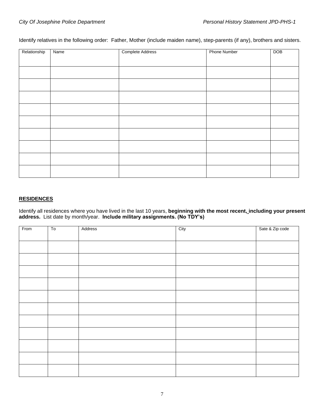Identify relatives in the following order: Father, Mother (include maiden name), step-parents (if any), brothers and sisters.

| Relationship | Name | <b>Complete Address</b> | <b>Phone Number</b> | DOB |
|--------------|------|-------------------------|---------------------|-----|
|              |      |                         |                     |     |
|              |      |                         |                     |     |
|              |      |                         |                     |     |
|              |      |                         |                     |     |
|              |      |                         |                     |     |
|              |      |                         |                     |     |
|              |      |                         |                     |     |
|              |      |                         |                     |     |
|              |      |                         |                     |     |
|              |      |                         |                     |     |
|              |      |                         |                     |     |
|              |      |                         |                     |     |
|              |      |                         |                     |     |
|              |      |                         |                     |     |
|              |      |                         |                     |     |
|              |      |                         |                     |     |

### **RESIDENCES**

Identify all residences where you have lived in the last 10 years, **beginning with the most recent, including your present address.** List date by month/year. **Include military assignments. (No TDY's)**

| From | T <sub>0</sub> | Address | City | Sate & Zip code |
|------|----------------|---------|------|-----------------|
|      |                |         |      |                 |
|      |                |         |      |                 |
|      |                |         |      |                 |
|      |                |         |      |                 |
|      |                |         |      |                 |
|      |                |         |      |                 |
|      |                |         |      |                 |
|      |                |         |      |                 |
|      |                |         |      |                 |
|      |                |         |      |                 |
|      |                |         |      |                 |
|      |                |         |      |                 |
|      |                |         |      |                 |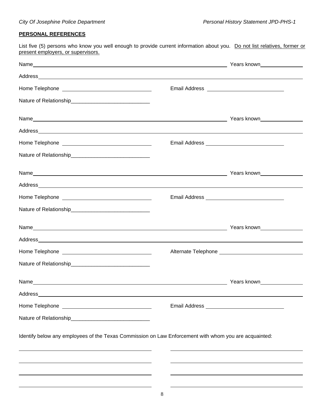# **PERSONAL REFERENCES**

List five (5) persons who know you well enough to provide current information about you. Do not list relatives, former or present employers, or supervisors.

| Address                                                                                               |  |
|-------------------------------------------------------------------------------------------------------|--|
|                                                                                                       |  |
|                                                                                                       |  |
| Identify below any employees of the Texas Commission on Law Enforcement with whom you are acquainted: |  |
|                                                                                                       |  |
|                                                                                                       |  |
|                                                                                                       |  |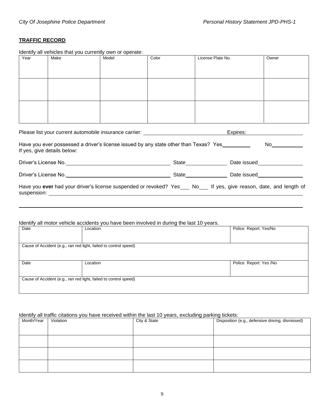# **TRAFFIC RECORD**

Identify all vehicles that you currently own or operate:

| Year                                                                                                                                                                                                                                                                                                                                                           | <u>Roching an vornolog inal you can chilig own or operato.</u><br>Make                                                                                                  | Model | Color | License Plate No. | Owner |  |
|----------------------------------------------------------------------------------------------------------------------------------------------------------------------------------------------------------------------------------------------------------------------------------------------------------------------------------------------------------------|-------------------------------------------------------------------------------------------------------------------------------------------------------------------------|-------|-------|-------------------|-------|--|
|                                                                                                                                                                                                                                                                                                                                                                |                                                                                                                                                                         |       |       |                   |       |  |
|                                                                                                                                                                                                                                                                                                                                                                |                                                                                                                                                                         |       |       |                   |       |  |
|                                                                                                                                                                                                                                                                                                                                                                |                                                                                                                                                                         |       |       |                   |       |  |
|                                                                                                                                                                                                                                                                                                                                                                |                                                                                                                                                                         |       |       |                   |       |  |
|                                                                                                                                                                                                                                                                                                                                                                |                                                                                                                                                                         |       |       |                   |       |  |
|                                                                                                                                                                                                                                                                                                                                                                |                                                                                                                                                                         |       |       |                   |       |  |
|                                                                                                                                                                                                                                                                                                                                                                |                                                                                                                                                                         |       |       |                   |       |  |
|                                                                                                                                                                                                                                                                                                                                                                | Expires: Note and the set of the set of the set of the set of the set of the set of the set of the set of the<br>Please list your current automobile insurance carrier: |       |       |                   |       |  |
|                                                                                                                                                                                                                                                                                                                                                                |                                                                                                                                                                         |       |       |                   |       |  |
| Have you ever possessed a driver's license issued by any state other than Texas? Yes_________<br>No and the second second second second second second second second second second second second second second second second second second second second second second second second second second second second second second s<br>If yes, give details below: |                                                                                                                                                                         |       |       |                   |       |  |
|                                                                                                                                                                                                                                                                                                                                                                |                                                                                                                                                                         |       |       |                   |       |  |
|                                                                                                                                                                                                                                                                                                                                                                |                                                                                                                                                                         |       |       |                   |       |  |
| Have you ever had your driver's license suspended or revoked? Yes___ No___ If yes, give reason, date, and length of                                                                                                                                                                                                                                            |                                                                                                                                                                         |       |       |                   |       |  |
|                                                                                                                                                                                                                                                                                                                                                                |                                                                                                                                                                         |       |       |                   |       |  |

### Identify all motor vehicle accidents you have been involved in during the last 10 years.

| Date | Location                                                         | Police Report: Yes/No  |
|------|------------------------------------------------------------------|------------------------|
|      |                                                                  |                        |
|      | Cause of Accident (e.g., ran red light, failed to control speed) |                        |
|      |                                                                  |                        |
| Date | Location                                                         | Police Report: Yes /No |
|      |                                                                  |                        |
|      |                                                                  |                        |
|      |                                                                  |                        |
|      | Cause of Accident (e.g., ran red light, failed to control speed) |                        |

#### Identify all traffic citations you have received within the last 10 years, excluding parking tickets:

| Month/Year | Violation | .<br>City & State | Disposition (e.g., defensive driving, dismissed) |
|------------|-----------|-------------------|--------------------------------------------------|
|            |           |                   |                                                  |
|            |           |                   |                                                  |
|            |           |                   |                                                  |
|            |           |                   |                                                  |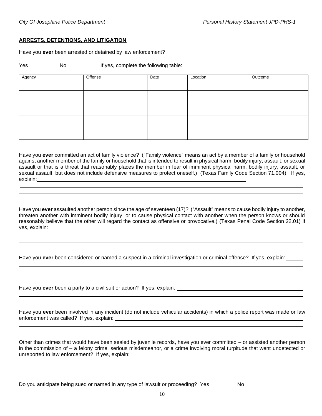#### **ARRESTS, DETENTIONS, AND LITIGATION**

Have you **ever** been arrested or detained by law enforcement?

Yes No No If yes, complete the following table:

| Agency | Offense | Date | Location | Outcome |
|--------|---------|------|----------|---------|
|        |         |      |          |         |
|        |         |      |          |         |
|        |         |      |          |         |
|        |         |      |          |         |
|        |         |      |          |         |

Have you **ever** committed an act of family violence? ("Family violence" means an act by a member of a family or household against another member of the family or household that is intended to result in physical harm, bodily injury, assault, or sexual assault or that is a threat that reasonably places the member in fear of imminent physical harm, bodily injury, assault, or sexual assault, but does not include defensive measures to protect oneself.) (Texas Family Code Section 71.004) If yes, explain:

Have you **ever** assaulted another person since the age of seventeen (17)? ("Assault" means to cause bodily injury to another, threaten another with imminent bodily injury, or to cause physical contact with another when the person knows or should reasonably believe that the other will regard the contact as offensive or provocative.) (Texas Penal Code Section 22.01) If yes, explain:

Have you **ever** been considered or named a suspect in a criminal investigation or criminal offense? If yes, explain:

Have you **ever** been a party to a civil suit or action? If yes, explain:

Have you **ever** been involved in any incident (do not include vehicular accidents) in which a police report was made or law enforcement was called? If yes, explain:

Other than crimes that would have been sealed by juvenile records, have you ever committed – or assisted another person in the commission of – a felony crime, serious misdemeanor, or a crime involving moral turpitude that went undetected or unreported to law enforcement? If yes, explain:

Do you anticipate being sued or named in any type of lawsuit or proceeding? Yes No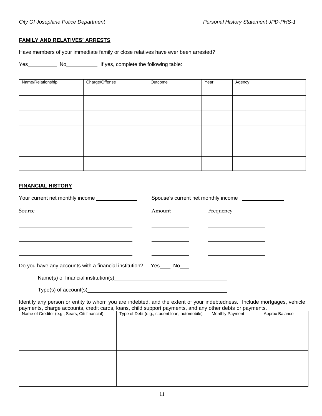#### **FAMILY AND RELATIVES' ARRESTS**

Have members of your immediate family or close relatives have ever been arrested?

Yes \_\_\_\_\_\_\_\_\_\_ No\_\_\_\_\_\_\_\_\_\_\_\_\_\_\_\_\_\_\_ If yes, complete the following table:

| Name/Relationship | Charge/Offense | Outcome | Year | Agency |
|-------------------|----------------|---------|------|--------|
|                   |                |         |      |        |
|                   |                |         |      |        |
|                   |                |         |      |        |
|                   |                |         |      |        |
|                   |                |         |      |        |
|                   |                |         |      |        |
|                   |                |         |      |        |
|                   |                |         |      |        |
|                   |                |         |      |        |
|                   |                |         |      |        |
|                   |                |         |      |        |
|                   |                |         |      |        |

#### **FINANCIAL HISTORY**

|                                                                                                                | Spouse's current net monthly income |           |  |
|----------------------------------------------------------------------------------------------------------------|-------------------------------------|-----------|--|
| Source                                                                                                         | Amount                              | Frequency |  |
|                                                                                                                |                                     |           |  |
| Do you have any accounts with a financial institution? Yes ____ No___                                          |                                     |           |  |
| Name(s) of financial institution(s) Manual Community of the Manual Community of the Manual Community of the Ma |                                     |           |  |

Type(s) of account(s) example and the state of the state of the state of the state of the state of the state of the state of the state of the state of the state of the state of the state of the state of the state of the st

Identify any person or entity to whom you are indebted, and the extent of your indebtedness. Include mortgages, vehicle payments, charge accounts, credit cards, loans, child support payments, and any other debts or payments.

| Name of Creditor (e.g., Sears, Citi financial) | Type of Debt (e.g., student loan, automobile) | Monthly Payment | Approx Balance |
|------------------------------------------------|-----------------------------------------------|-----------------|----------------|
|                                                |                                               |                 |                |
|                                                |                                               |                 |                |
|                                                |                                               |                 |                |
|                                                |                                               |                 |                |
|                                                |                                               |                 |                |
|                                                |                                               |                 |                |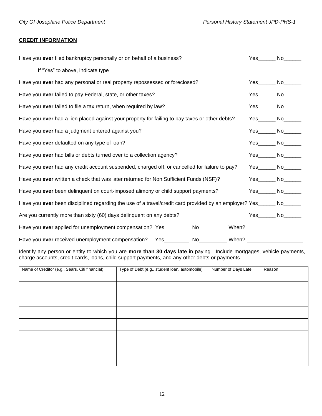# **CREDIT INFORMATION**

| Have you ever filed bankruptcy personally or on behalf of a business?                                                | Yes                  | No lot in the set of the set of the set of the set of the set of the set of the set of the set of the set of the set of the set of the set of the set of the set of the set of the set of the set of the set of the set of the |
|----------------------------------------------------------------------------------------------------------------------|----------------------|--------------------------------------------------------------------------------------------------------------------------------------------------------------------------------------------------------------------------------|
|                                                                                                                      |                      |                                                                                                                                                                                                                                |
| Have you ever had any personal or real property repossessed or foreclosed?                                           | Yes No               |                                                                                                                                                                                                                                |
| Have you ever failed to pay Federal, state, or other taxes?                                                          | Yes No               |                                                                                                                                                                                                                                |
| Have you ever failed to file a tax return, when required by law?                                                     | Yes No               |                                                                                                                                                                                                                                |
| Have you ever had a lien placed against your property for failing to pay taxes or other debts?                       | $Yes$ No $No$        |                                                                                                                                                                                                                                |
| Have you ever had a judgment entered against you?                                                                    | Yes No               |                                                                                                                                                                                                                                |
| Have you ever defaulted on any type of loan?                                                                         |                      |                                                                                                                                                                                                                                |
| Have you ever had bills or debts turned over to a collection agency?                                                 | Yes_______ No_______ |                                                                                                                                                                                                                                |
| Have you ever had any credit account suspended, charged off, or cancelled for failure to pay?                        | Yes No               |                                                                                                                                                                                                                                |
| Have you ever written a check that was later returned for Non Sufficient Funds (NSF)?                                | Yes No               |                                                                                                                                                                                                                                |
| Have you ever been delinquent on court-imposed alimony or child support payments?                                    | Yes No               |                                                                                                                                                                                                                                |
| Have you ever been disciplined regarding the use of a travel/credit card provided by an employer? Yes______ No______ |                      |                                                                                                                                                                                                                                |
| Are you currently more than sixty (60) days delinquent on any debts?                                                 | Yes No               |                                                                                                                                                                                                                                |
| Have you ever applied for unemployment compensation? Yes__________ No_________When? _________________________        |                      |                                                                                                                                                                                                                                |
| Have you ever received unemployment compensation? Yes _________ No_________ When? _________________                  |                      |                                                                                                                                                                                                                                |

Identify any person or entity to which you are **more than 30 days late** in paying. Include mortgages, vehicle payments, charge accounts, credit cards, loans, child support payments, and any other debts or payments.

| Name of Creditor (e.g., Sears, Citi financial) | Type of Debt (e.g., student loan, automobile) | Number of Days Late | Reason |
|------------------------------------------------|-----------------------------------------------|---------------------|--------|
|                                                |                                               |                     |        |
|                                                |                                               |                     |        |
|                                                |                                               |                     |        |
|                                                |                                               |                     |        |
|                                                |                                               |                     |        |
|                                                |                                               |                     |        |
|                                                |                                               |                     |        |
|                                                |                                               |                     |        |
|                                                |                                               |                     |        |
|                                                |                                               |                     |        |
|                                                |                                               |                     |        |
|                                                |                                               |                     |        |
|                                                |                                               |                     |        |
|                                                |                                               |                     |        |
|                                                |                                               |                     |        |
|                                                |                                               |                     |        |
|                                                |                                               |                     |        |
|                                                |                                               |                     |        |
|                                                |                                               |                     |        |
|                                                |                                               |                     |        |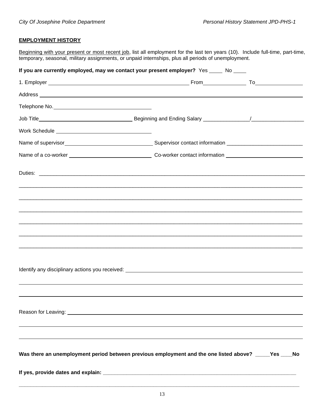# **EMPLOYMENT HISTORY**

Beginning with your present or most recent job, list all employment for the last ten years (10). Include full-time, part-time, temporary, seasonal, military assignments, or unpaid internships, plus all periods of unemployment.

| If you are currently employed, may we contact your present employer? Yes _____ No ____                                                                                                                                               |  |
|--------------------------------------------------------------------------------------------------------------------------------------------------------------------------------------------------------------------------------------|--|
|                                                                                                                                                                                                                                      |  |
| Address <b>contract and contract and contract of the contract of the contract of the contract of the contract of the contract of the contract of the contract of the contract of the contract of the contract of the contract of</b> |  |
|                                                                                                                                                                                                                                      |  |
|                                                                                                                                                                                                                                      |  |
|                                                                                                                                                                                                                                      |  |
|                                                                                                                                                                                                                                      |  |
|                                                                                                                                                                                                                                      |  |
|                                                                                                                                                                                                                                      |  |
|                                                                                                                                                                                                                                      |  |
|                                                                                                                                                                                                                                      |  |
|                                                                                                                                                                                                                                      |  |
|                                                                                                                                                                                                                                      |  |
|                                                                                                                                                                                                                                      |  |
|                                                                                                                                                                                                                                      |  |
| Identify any disciplinary actions you received: Notice of the state of the state of the state of the state of the state of the state of the state of the state of the state of the state of the state of the state of the stat       |  |
|                                                                                                                                                                                                                                      |  |
|                                                                                                                                                                                                                                      |  |
|                                                                                                                                                                                                                                      |  |
|                                                                                                                                                                                                                                      |  |
|                                                                                                                                                                                                                                      |  |
| Was there an unemployment period between previous employment and the one listed above? _____Yes ____No                                                                                                                               |  |
|                                                                                                                                                                                                                                      |  |

**\_\_\_\_\_\_\_\_\_\_\_\_\_\_\_\_\_\_\_\_\_\_\_\_\_\_\_\_\_\_\_\_\_\_\_\_\_\_\_\_\_\_\_\_\_\_\_\_\_\_\_\_\_\_\_\_\_\_\_\_\_\_\_\_\_\_\_\_\_\_\_\_\_\_\_\_\_\_\_\_\_\_\_\_\_\_\_\_\_\_\_\_\_\_\_\_**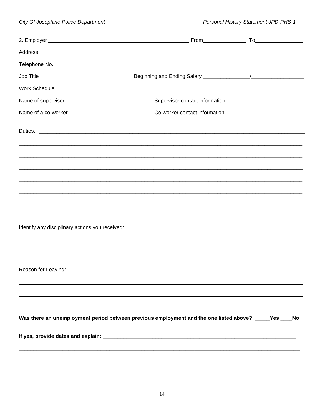| Reason for Leaving: North Contract Contract of the Contract of the Contract of the Contract of the Contract of |  |
|----------------------------------------------------------------------------------------------------------------|--|
|                                                                                                                |  |
|                                                                                                                |  |
| Was there an unemployment period between previous employment and the one listed above? ____Yes ___No           |  |
|                                                                                                                |  |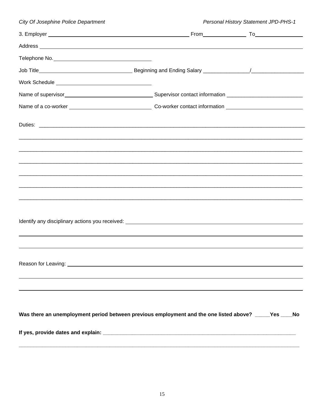| City Of Josephine Police Department                                                                    |  | Personal History Statement JPD-PHS-1 |  |
|--------------------------------------------------------------------------------------------------------|--|--------------------------------------|--|
|                                                                                                        |  |                                      |  |
|                                                                                                        |  |                                      |  |
|                                                                                                        |  |                                      |  |
|                                                                                                        |  |                                      |  |
|                                                                                                        |  |                                      |  |
|                                                                                                        |  |                                      |  |
|                                                                                                        |  |                                      |  |
|                                                                                                        |  |                                      |  |
|                                                                                                        |  |                                      |  |
|                                                                                                        |  |                                      |  |
|                                                                                                        |  |                                      |  |
|                                                                                                        |  |                                      |  |
|                                                                                                        |  |                                      |  |
|                                                                                                        |  |                                      |  |
|                                                                                                        |  |                                      |  |
|                                                                                                        |  |                                      |  |
|                                                                                                        |  |                                      |  |
|                                                                                                        |  |                                      |  |
|                                                                                                        |  |                                      |  |
|                                                                                                        |  |                                      |  |
|                                                                                                        |  |                                      |  |
|                                                                                                        |  |                                      |  |
| Was there an unemployment period between previous employment and the one listed above? _____Yes ____No |  |                                      |  |
|                                                                                                        |  |                                      |  |
|                                                                                                        |  |                                      |  |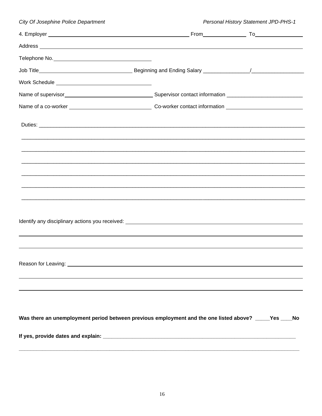| City Of Josephine Police Department                                                                                                                                                                                            | Personal History Statement JPD-PHS-1 |  |  |
|--------------------------------------------------------------------------------------------------------------------------------------------------------------------------------------------------------------------------------|--------------------------------------|--|--|
|                                                                                                                                                                                                                                |                                      |  |  |
| Address and the contract of the contract of the contract of the contract of the contract of the contract of the                                                                                                                |                                      |  |  |
|                                                                                                                                                                                                                                |                                      |  |  |
|                                                                                                                                                                                                                                |                                      |  |  |
|                                                                                                                                                                                                                                |                                      |  |  |
|                                                                                                                                                                                                                                |                                      |  |  |
|                                                                                                                                                                                                                                |                                      |  |  |
|                                                                                                                                                                                                                                |                                      |  |  |
|                                                                                                                                                                                                                                |                                      |  |  |
|                                                                                                                                                                                                                                |                                      |  |  |
|                                                                                                                                                                                                                                |                                      |  |  |
|                                                                                                                                                                                                                                |                                      |  |  |
|                                                                                                                                                                                                                                |                                      |  |  |
|                                                                                                                                                                                                                                |                                      |  |  |
|                                                                                                                                                                                                                                |                                      |  |  |
|                                                                                                                                                                                                                                |                                      |  |  |
| Identify any disciplinary actions you received: Notice of the state of the state of the state of the state of the state of the state of the state of the state of the state of the state of the state of the state of the stat |                                      |  |  |
|                                                                                                                                                                                                                                |                                      |  |  |
|                                                                                                                                                                                                                                |                                      |  |  |
|                                                                                                                                                                                                                                |                                      |  |  |
|                                                                                                                                                                                                                                |                                      |  |  |
|                                                                                                                                                                                                                                |                                      |  |  |
|                                                                                                                                                                                                                                |                                      |  |  |
|                                                                                                                                                                                                                                |                                      |  |  |
| Was there an unemployment period between previous employment and the one listed above? _____Yes ____No                                                                                                                         |                                      |  |  |
|                                                                                                                                                                                                                                |                                      |  |  |
|                                                                                                                                                                                                                                |                                      |  |  |
|                                                                                                                                                                                                                                |                                      |  |  |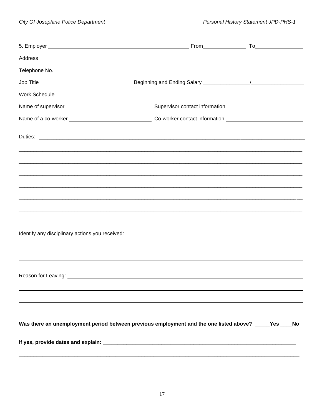| Address experience and the contract of the contract of the contract of the contract of the contract of the contract of the contract of the contract of the contract of the contract of the contract of the contract of the con |  |
|--------------------------------------------------------------------------------------------------------------------------------------------------------------------------------------------------------------------------------|--|
|                                                                                                                                                                                                                                |  |
|                                                                                                                                                                                                                                |  |
|                                                                                                                                                                                                                                |  |
|                                                                                                                                                                                                                                |  |
|                                                                                                                                                                                                                                |  |
|                                                                                                                                                                                                                                |  |
|                                                                                                                                                                                                                                |  |
| <u> 1980 - John Stone, Amerikaans en beskriuw op de Fryske kommunister en beskriuw op de foarmen oan de Fryske kom</u>                                                                                                         |  |
|                                                                                                                                                                                                                                |  |
|                                                                                                                                                                                                                                |  |
| Reason for Leaving: ___                                                                                                                                                                                                        |  |
|                                                                                                                                                                                                                                |  |
| Was there an unemployment period between previous employment and the one listed above? _____Yes ____No                                                                                                                         |  |
|                                                                                                                                                                                                                                |  |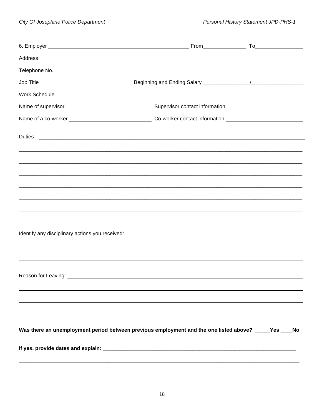| Address experience and the contract of the contract of the contract of the contract of the contract of the contract of the contract of the contract of the contract of the contract of the contract of the contract of the con |  |
|--------------------------------------------------------------------------------------------------------------------------------------------------------------------------------------------------------------------------------|--|
|                                                                                                                                                                                                                                |  |
|                                                                                                                                                                                                                                |  |
|                                                                                                                                                                                                                                |  |
|                                                                                                                                                                                                                                |  |
|                                                                                                                                                                                                                                |  |
|                                                                                                                                                                                                                                |  |
|                                                                                                                                                                                                                                |  |
|                                                                                                                                                                                                                                |  |
| <u> 1980 - Jan James James Barnett, amerikan bernama di sebagai bernama dan bernama di sebagai bernama di sebagai</u>                                                                                                          |  |
|                                                                                                                                                                                                                                |  |
|                                                                                                                                                                                                                                |  |
|                                                                                                                                                                                                                                |  |
|                                                                                                                                                                                                                                |  |
|                                                                                                                                                                                                                                |  |
|                                                                                                                                                                                                                                |  |
|                                                                                                                                                                                                                                |  |
| Was there an unemployment period between previous employment and the one listed above? ____Yes ___No                                                                                                                           |  |
|                                                                                                                                                                                                                                |  |
|                                                                                                                                                                                                                                |  |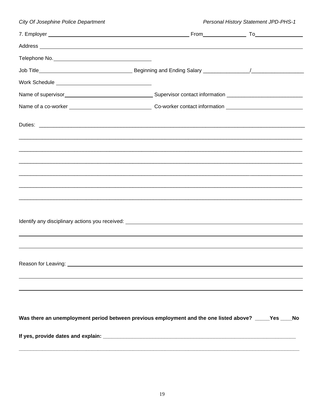| City Of Josephine Police Department                                                                                                                                                                                            | Personal History Statement JPD-PHS-1 |  |  |
|--------------------------------------------------------------------------------------------------------------------------------------------------------------------------------------------------------------------------------|--------------------------------------|--|--|
|                                                                                                                                                                                                                                |                                      |  |  |
| Address and the contract of the contract of the contract of the contract of the contract of the contract of the contract of the contract of the contract of the contract of the contract of the contract of the contract of th |                                      |  |  |
|                                                                                                                                                                                                                                |                                      |  |  |
|                                                                                                                                                                                                                                |                                      |  |  |
|                                                                                                                                                                                                                                |                                      |  |  |
|                                                                                                                                                                                                                                |                                      |  |  |
|                                                                                                                                                                                                                                |                                      |  |  |
|                                                                                                                                                                                                                                |                                      |  |  |
|                                                                                                                                                                                                                                |                                      |  |  |
|                                                                                                                                                                                                                                |                                      |  |  |
|                                                                                                                                                                                                                                |                                      |  |  |
|                                                                                                                                                                                                                                |                                      |  |  |
|                                                                                                                                                                                                                                |                                      |  |  |
|                                                                                                                                                                                                                                |                                      |  |  |
|                                                                                                                                                                                                                                |                                      |  |  |
|                                                                                                                                                                                                                                |                                      |  |  |
| Identify any disciplinary actions you received: Notice of the state of the state of the state of the state of the state of the state of the state of the state of the state of the state of the state of the state of the stat |                                      |  |  |
|                                                                                                                                                                                                                                |                                      |  |  |
|                                                                                                                                                                                                                                |                                      |  |  |
|                                                                                                                                                                                                                                |                                      |  |  |
|                                                                                                                                                                                                                                |                                      |  |  |
|                                                                                                                                                                                                                                |                                      |  |  |
|                                                                                                                                                                                                                                |                                      |  |  |
|                                                                                                                                                                                                                                |                                      |  |  |
| Was there an unemployment period between previous employment and the one listed above? _____Yes ____No                                                                                                                         |                                      |  |  |
|                                                                                                                                                                                                                                |                                      |  |  |
|                                                                                                                                                                                                                                |                                      |  |  |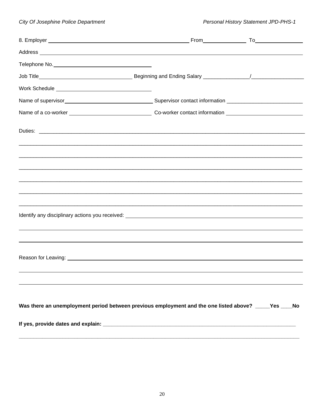| Telephone No. No. 2008 and 2008 and 2008 and 2008 and 2008 and 2008 and 2008 and 2008 and 2008 and 2008 and 20       |  |
|----------------------------------------------------------------------------------------------------------------------|--|
|                                                                                                                      |  |
|                                                                                                                      |  |
|                                                                                                                      |  |
|                                                                                                                      |  |
|                                                                                                                      |  |
|                                                                                                                      |  |
|                                                                                                                      |  |
|                                                                                                                      |  |
|                                                                                                                      |  |
|                                                                                                                      |  |
| <u> 1989 - Andrea Santa Andrea Andrea Andrea Andrea Andrea Andrea Andrea Andrea Andrea Andrea Andrea Andrea Andr</u> |  |
|                                                                                                                      |  |
|                                                                                                                      |  |
|                                                                                                                      |  |
| Was there an unemployment period between previous employment and the one listed above? _____Yes ____No               |  |
|                                                                                                                      |  |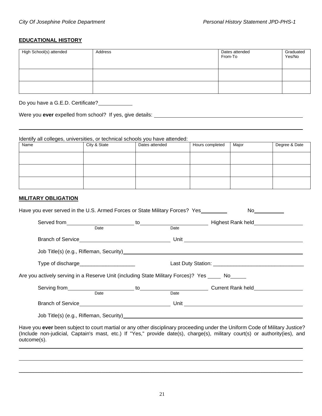### **EDUCATIONAL HISTORY**

| High School(s) attended | Address | Dates attended<br>From-To | Graduated<br>Yes/No |
|-------------------------|---------|---------------------------|---------------------|
|                         |         |                           |                     |
|                         |         |                           |                     |

Do you have a G.E.D. Certificate?

Were you **ever** expelled from school? If yes, give details:

Identify all colleges, universities, or technical schools you have attended:<br>
Name | Dates attended Hours completed | Major | Degree & Date

### **MILITARY OBLIGATION**

| Have you ever served in the U.S. Armed Forces or State Military Forces? Yes                                                                                                                                                         |  | No and the state of the state of the state of the state of the state of the state of the state of the state of |  |
|-------------------------------------------------------------------------------------------------------------------------------------------------------------------------------------------------------------------------------------|--|----------------------------------------------------------------------------------------------------------------|--|
|                                                                                                                                                                                                                                     |  |                                                                                                                |  |
|                                                                                                                                                                                                                                     |  |                                                                                                                |  |
|                                                                                                                                                                                                                                     |  |                                                                                                                |  |
| Job Title(s) (e.g., Rifleman, Security) <b>Example 2018</b> 2019 12:30 and 2019 12:40 and 2019 12:40 and 2019 12:40 and 2019 12:40 and 2019 12:40 and 2019 12:40 and 2019 12:40 and 2019 12:40 and 2019 12:40 and 2019 12:40 and 20 |  |                                                                                                                |  |
| Type of discharge_________________________                                                                                                                                                                                          |  |                                                                                                                |  |
| Are you actively serving in a Reserve Unit (including State Military Forces)? Yes No                                                                                                                                                |  |                                                                                                                |  |
|                                                                                                                                                                                                                                     |  |                                                                                                                |  |
|                                                                                                                                                                                                                                     |  |                                                                                                                |  |
| Job Title(s) (e.g., Rifleman, Security)                                                                                                                                                                                             |  |                                                                                                                |  |

Have you **ever** been subject to court martial or any other disciplinary proceeding under the Uniform Code of Military Justice? (Include non-judicial, Captain's mast, etc.) If "Yes," provide date(s), charge(s), military court(s) or authority(ies), and outcome(s).

\_\_\_\_\_\_\_\_\_\_\_\_\_\_\_\_\_\_\_\_\_\_\_\_\_\_\_\_\_\_\_\_\_\_\_\_\_\_\_\_\_\_\_\_\_\_\_\_\_\_\_\_\_\_\_\_\_\_\_\_\_\_\_\_\_\_\_\_\_\_\_\_\_\_\_\_\_\_\_\_\_\_\_\_\_\_\_\_\_\_\_\_\_\_\_\_\_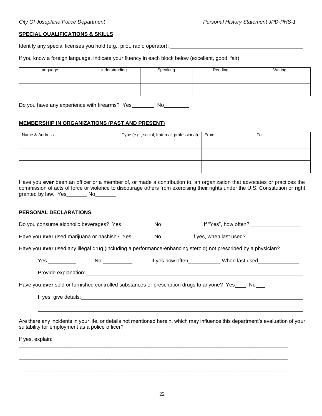#### **SPECIAL QUALIFICATIONS & SKILLS**

Identify any special licenses you hold (e.g., pilot, radio operator):

If you know a foreign language, indicate your fluency in each block below (excellent, good, fair)

| Language | Understanding | Speaking | Reading | Writing |
|----------|---------------|----------|---------|---------|
|          |               |          |         |         |

Do you have any experience with firearms? Yes \_\_\_\_\_\_\_\_ No\_\_\_\_\_\_\_\_\_

### **MEMBERSHIP IN ORGANIZATIONS (PAST AND PRESENT)**

| Name & Address | Type (e.g., social, fraternal, professional) | From | To |
|----------------|----------------------------------------------|------|----|
|                |                                              |      |    |
|                |                                              |      |    |
|                |                                              |      |    |
|                |                                              |      |    |

Have you **ever** been an officer or a member of, or made a contribution to, an organization that advocates or practices the commission of acts of force or violence to discourage others from exercising their rights under the U.S. Constitution or right granted by law. Yes\_\_\_\_\_\_\_ No\_\_\_\_\_\_\_

#### **PERSONAL DECLARATIONS**

|                                                 | Do you consume alcoholic beverages? Yes No No                                                                                                                                                                                 | If "Yes", how often? $\frac{1}{2}$ . The same set of the set of the set of the set of the set of the set of the set of the set of the set of the set of the set of the set of the set of the set of the set of the set of the set |
|-------------------------------------------------|-------------------------------------------------------------------------------------------------------------------------------------------------------------------------------------------------------------------------------|-----------------------------------------------------------------------------------------------------------------------------------------------------------------------------------------------------------------------------------|
|                                                 |                                                                                                                                                                                                                               | Have you ever used marijuana or hashish? Yes No No No Rif yes, when last used?                                                                                                                                                    |
|                                                 |                                                                                                                                                                                                                               | Have you ever used any illegal drug (including a performance-enhancing steroid) not prescribed by a physician?                                                                                                                    |
| Yes ___________                                 |                                                                                                                                                                                                                               | If yes how often ____________When last used                                                                                                                                                                                       |
|                                                 |                                                                                                                                                                                                                               |                                                                                                                                                                                                                                   |
|                                                 |                                                                                                                                                                                                                               | Have you ever sold or furnished controlled substances or prescription drugs to anyone? Yes No                                                                                                                                     |
|                                                 | If yes, give details: The same state of the state of the state of the state of the state of the state of the state of the state of the state of the state of the state of the state of the state of the state of the state of |                                                                                                                                                                                                                                   |
|                                                 |                                                                                                                                                                                                                               |                                                                                                                                                                                                                                   |
| suitability for employment as a police officer? |                                                                                                                                                                                                                               | Are there any incidents in your life, or details not mentioned herein, which may influence this department's evaluation of your                                                                                                   |

If yes, explain:

\_\_\_\_\_\_\_\_\_\_\_\_\_\_\_\_\_\_\_\_\_\_\_\_\_\_\_\_\_\_\_\_\_\_\_\_\_\_\_\_\_\_\_\_\_\_\_\_\_\_\_\_\_\_\_\_\_\_\_\_\_\_\_\_\_\_\_\_\_\_\_\_\_\_\_\_\_\_\_\_\_\_\_\_\_\_\_\_\_\_\_\_

 $\Box$ 

 $\Box$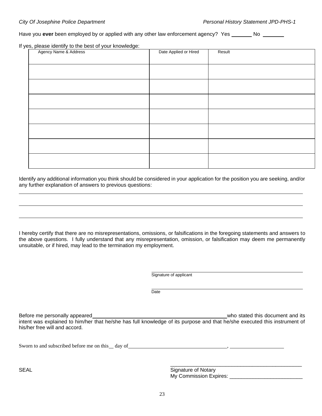Have you **ever** been employed by or applied with any other law enforcement agency? Yes No No

If yes, please identify to the best of your knowledge:

| Agency Name & Address | Date Applied or Hired | Result |
|-----------------------|-----------------------|--------|
|                       |                       |        |
|                       |                       |        |
|                       |                       |        |
|                       |                       |        |
|                       |                       |        |
|                       |                       |        |
|                       |                       |        |
|                       |                       |        |
|                       |                       |        |
|                       |                       |        |
|                       |                       |        |
|                       |                       |        |
|                       |                       |        |
|                       |                       |        |
|                       |                       |        |

Identify any additional information you think should be considered in your application for the position you are seeking, and/or any further explanation of answers to previous questions:

I hereby certify that there are no misrepresentations, omissions, or falsifications in the foregoing statements and answers to the above questions. I fully understand that any misrepresentation, omission, or falsification may deem me permanently unsuitable, or if hired, may lead to the termination my employment.

Signature of applicant

**Date** 

Before me personally appeared who stated this document and its intent was explained to him/her that he/she has full knowledge of its purpose and that he/she executed this instrument of his/her free will and accord.

Sworn to and subscribed before me on this day of  $\qquad \qquad$ 

SEAL SEAL Signature of Notary My Commission Expires: **Expires**:

\_\_\_\_\_\_\_\_\_\_\_\_\_\_\_\_\_\_\_\_\_\_\_\_\_\_\_\_\_\_\_\_\_\_\_\_\_\_\_\_\_\_\_\_\_